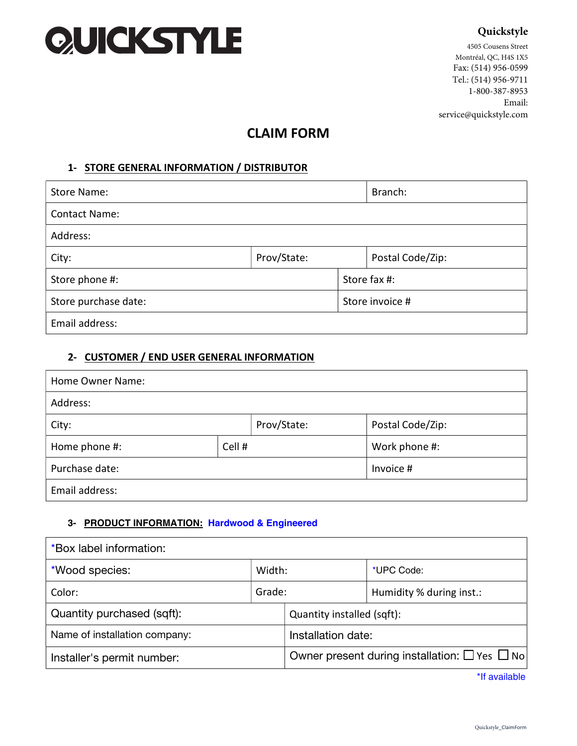# QUICKSTYLE

# **Quickstyle**

4505 Cousens Street Montréal, QC, H4S 1X5 Fax: (514) 956-0599 Tel.: (514) 956-9711 1-800-387-8953 Email: service@quickstyle.com

# **CLAIM FORM**

## **1- STORE GENERAL INFORMATION / DISTRIBUTOR**

| Store Name:          |             |                 | Branch:          |  |
|----------------------|-------------|-----------------|------------------|--|
| <b>Contact Name:</b> |             |                 |                  |  |
| Address:             |             |                 |                  |  |
| City:                | Prov/State: |                 | Postal Code/Zip: |  |
| Store phone #:       |             |                 | Store fax #:     |  |
| Store purchase date: |             | Store invoice # |                  |  |
| Email address:       |             |                 |                  |  |

#### **2- CUSTOMER / END USER GENERAL INFORMATION**

| Home Owner Name: |        |             |                  |  |
|------------------|--------|-------------|------------------|--|
| Address:         |        |             |                  |  |
| City:            |        | Prov/State: | Postal Code/Zip: |  |
| Home phone #:    | Cell # |             | Work phone #:    |  |
| Purchase date:   |        | Invoice #   |                  |  |
| Email address:   |        |             |                  |  |

#### **3- PRODUCT INFORMATION: Hardwood & Engineered**

| *Box label information:       |        |                            |                                                               |  |
|-------------------------------|--------|----------------------------|---------------------------------------------------------------|--|
| *Wood species:                | Width: |                            | *UPC Code:                                                    |  |
| Color:                        | Grade: |                            | Humidity % during inst.:                                      |  |
| Quantity purchased (sqft):    |        | Quantity installed (sqft): |                                                               |  |
| Name of installation company: |        | Installation date:         |                                                               |  |
| Installer's permit number:    |        |                            | Owner present during installation: $\square$ Yes $\square$ No |  |

\*If available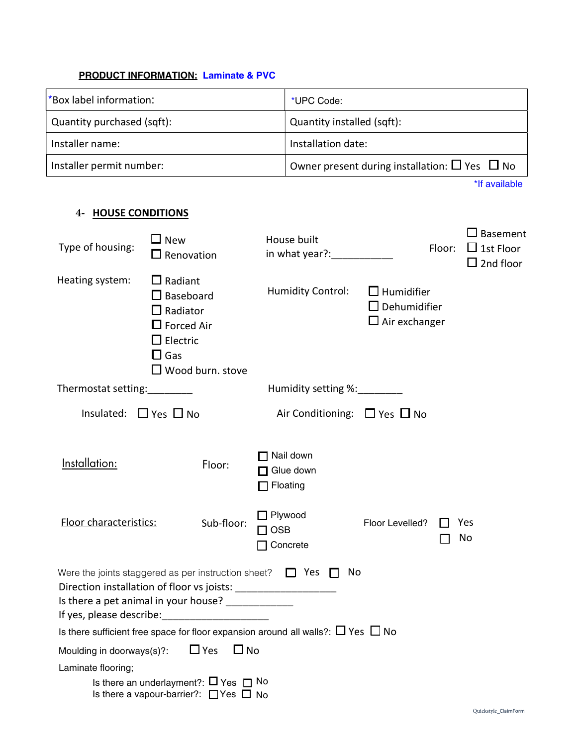# **PRODUCT INFORMATION: Laminate & PVC**

| *Box label information:       |                                                                                                                                                   |                       | *UPC Code:                                                                                   |                                                         |        |                                           |
|-------------------------------|---------------------------------------------------------------------------------------------------------------------------------------------------|-----------------------|----------------------------------------------------------------------------------------------|---------------------------------------------------------|--------|-------------------------------------------|
| Quantity purchased (sqft):    |                                                                                                                                                   |                       | Quantity installed (sqft):                                                                   |                                                         |        |                                           |
| Installer name:               |                                                                                                                                                   |                       | Installation date:                                                                           |                                                         |        |                                           |
| Installer permit number:      |                                                                                                                                                   |                       |                                                                                              | Owner present during installation: $\Box$ Yes $\Box$ No |        |                                           |
|                               |                                                                                                                                                   |                       |                                                                                              |                                                         |        | *If available                             |
| <b>HOUSE CONDITIONS</b><br>4- |                                                                                                                                                   |                       |                                                                                              |                                                         |        |                                           |
| Type of housing:              | $\square$ New<br>$\Box$ Renovation                                                                                                                |                       | House built                                                                                  |                                                         | Floor: | Basement<br>$\Box$ 1st Floor<br>2nd floor |
| Heating system:               | $\Box$ Radiant<br>$\Box$ Baseboard<br>$\Box$ Radiator<br>$\Box$ Forced Air<br>$\Box$ Electric<br>$\square$ Gas<br>$\Box$ Wood burn. stove         |                       | <b>Humidity Control:</b><br>$\Box$ Humidifier<br>$\Box$ Dehumidifier<br>$\Box$ Air exchanger |                                                         |        |                                           |
| Thermostat setting:           |                                                                                                                                                   |                       | Humidity setting %: 1990                                                                     |                                                         |        |                                           |
| Insulated:                    | $\Box$ Yes $\Box$ No                                                                                                                              |                       | Air Conditioning: $\Box$ Yes $\Box$ No                                                       |                                                         |        |                                           |
| Installation:                 | Floor:                                                                                                                                            |                       | Nail down<br>Glue down<br>Floating                                                           |                                                         |        |                                           |
| Floor characteristics:        | Sub-floor:                                                                                                                                        | Plywood<br><b>OSB</b> | Concrete                                                                                     | Floor Levelled?                                         |        | Yes<br>No                                 |
|                               | Were the joints staggered as per instruction sheet? $\Box$ Yes<br>Is there a pet animal in your house? ______________<br>If yes, please describe: |                       | No<br>$\blacksquare$                                                                         |                                                         |        |                                           |
|                               | Is there sufficient free space for floor expansion around all walls?: $\Box$ Yes $\Box$ No                                                        |                       |                                                                                              |                                                         |        |                                           |
| Moulding in doorways(s)?:     | $\Box$ Yes<br>$\Box$ No                                                                                                                           |                       |                                                                                              |                                                         |        |                                           |
| Laminate flooring;            | Is there an underlayment?: $\Box$ Yes $\Box$ No<br>Is there a vapour-barrier?: $\Box$ Yes $\Box$ No                                               |                       |                                                                                              |                                                         |        |                                           |